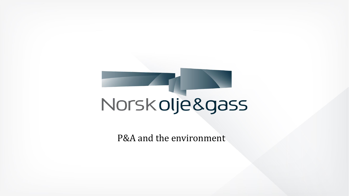# Norsk olje & gass

P&A and the environment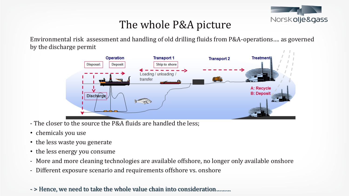

### The whole P&A picture

Environmental risk assessment and handling of old drilling fluids from P&A-operations…. as governed by the discharge permit



- The closer to the source the P&A fluids are handled the less;
- chemicals you use
- the less waste you generate
- the less energy you consume
- More and more cleaning technologies are available offshore, no longer only available onshore
- Different exposure scenario and requirements offshore vs. onshore
- > Hence, we need to take the whole value chain into consideration………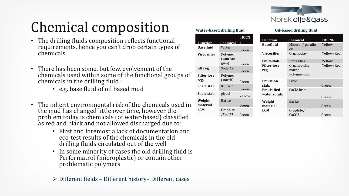

**Oil-based drilling fluid**

# Chemical composition

- The drilling fluids composition reflects functional requirements, hence you can't drop certain types of chemicals
- There has been some, but few, evolvement of the chemicals used within some of the functional groups of chemicals in the drilling fluid :
	- e.g. base fluid of oil based mud
- The inherit environmental risk of the chemicals used in the mud has changed little over time, however the problem today is chemicals (of water-based) classified as red and black and not allowed discharged due to:
	- First and foremost a lack of documentation and eco-test results of the chemicals in the old drilling fluids circulated out of the well
	- In some minority of cases the old drilling fluid is Performatrol (microplastic) or contain other problematic polymers

#### **Water-based drilling fluid**

|                    |                     | <b>HOCN</b> | <b>Function</b>    | <b>Chemical</b>         | <b>HOCNF</b> |
|--------------------|---------------------|-------------|--------------------|-------------------------|--------------|
| <b>Function</b>    | Chemical            | F           | <b>Basefluid</b>   | Mineral / parafin       | Yellow       |
| <b>Basefluid</b>   | Water               | Green       |                    | oil                     |              |
| Viscosifier        | Polymer<br>(xanthan |             | Viscosifier        | Organoclay              | Yellow/Red   |
|                    | gum)                |             | Fluid-stab.        | Emulsifier              | Yellow       |
|                    |                     | Green       | <b>Filter-loss</b> | Organophilic            | Yellow/Red   |
| pH reg.            | Soda Ash            | Green       | reg.               | $\text{matr.} /$        |              |
| <b>Filter loss</b> | Polymer             |             |                    | Polymer-bas.            |              |
| reg.               | (starch)            | Green       | <b>Emulsion</b>    | Lime                    |              |
| Shale stab.        | KCl salt            |             | stab.              |                         | Green        |
|                    |                     | Green       | Emulsified         | CaCl <sub>2</sub> brine |              |
| Shale stab.        | glycol              | Yellow      | water solutn       |                         | Green        |
| Weight             | <b>Barite</b>       |             | Weight             | <b>Barite</b>           |              |
| material           |                     | Green       | material           |                         | Green        |
| <b>LCM</b>         | Graphite            |             | <b>LCM</b>         | Graphite/               |              |
|                    | /CaCO3              | Green       |                    | CaC <sub>O</sub> 3      | Green        |

➢ Different fields – Different history– Different cases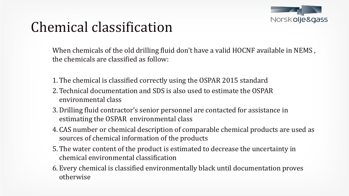

### Chemical classification

When chemicals of the old drilling fluid don't have a valid HOCNF available in NEMS , the chemicals are classified as follow:

- 1. The chemical is classified correctly using the OSPAR 2015 standard
- 2. Technical documentation and SDS is also used to estimate the OSPAR environmental class
- 3.Drilling fluid contractor's senior personnel are contacted for assistance in estimating the OSPAR environmental class
- 4. CAS number or chemical description of comparable chemical products are used as sources of chemical information of the products
- 5. The water content of the product is estimated to decrease the uncertainty in chemical environmental classification
- 6. Every chemical is classified environmentally black until documentation proves otherwise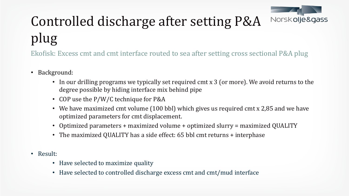

# Controlled discharge after setting P&A plug

Ekofisk: Excess cmt and cmt interface routed to sea after setting cross sectional P&A plug

- Background:
	- In our drilling programs we typically set required cmt x 3 (or more). We avoid returns to the degree possible by hiding interface mix behind pipe
	- COP use the P/W/C technique for P&A
	- We have maximized cmt volume (100 bbl) which gives us required cmt x 2,85 and we have optimized parameters for cmt displacement.
	- Optimized parameters + maximized volume + optimized slurry = maximized QUALITY
	- The maximized QUALITY has a side effect: 65 bbl cmt returns + interphase
- Result:
	- Have selected to maximize quality
	- Have selected to controlled discharge excess cmt and cmt/mud interface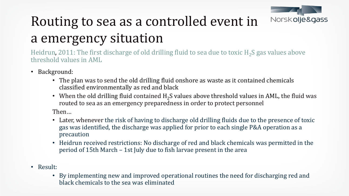

# Routing to sea as a controlled event in a emergency situation

Heidrun, 2011: The first discharge of old drilling fluid to sea due to toxic  $H_2S$  gas values above threshold values in AML

- Background:
	- The plan was to send the old drilling fluid onshore as waste as it contained chemicals classified environmentally as red and black
	- When the old drilling fluid contained  $H_2S$  values above threshold values in AML, the fluid was routed to sea as an emergency preparedness in order to protect personnel

Then…

- Later, whenever the risk of having to discharge old drilling fluids due to the presence of toxic gas was identified, the discharge was applied for prior to each single P&A operation as a precaution
- Heidrun received restrictions: No discharge of red and black chemicals was permitted in the period of 15th March – 1st July due to fish larvae present in the area
- Result:
	- By implementing new and improved operational routines the need for discharging red and black chemicals to the sea was eliminated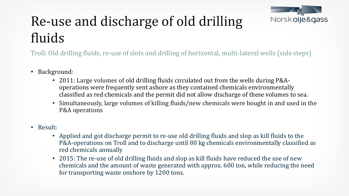

## Re-use and discharge of old drilling fluids

Troll: Old drilling fluids, re-use of slots and drilling of horizontal, multi-lateral wells (side steps)

- Background:
	- 2011: Large volumes of old drilling fluids circulated out from the wells during P&Aoperations were frequently sent ashore as they contained chemicals environmentally classified as red chemicals and the permit did not allow discharge of these volumes to sea.
	- Simultaneously, large volumes of killing fluids/new chemicals were bought in and used in the P&A operations
- Result:
	- Applied and got discharge permit to re-use old drilling fluids and slop as kill fluids to the P&A-operations on Troll and to discharge until 80 kg chemicals environmentally classified as red chemicals annually
	- 2015: The re-use of old drilling fluids and slop as kill fluids have reduced the use of new chemicals and the amount of waste generated with approx. 600 ton, while reducing the need for transporting waste onshore by 1200 tons.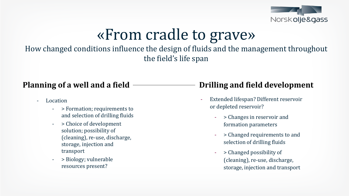

# «From cradle to grave»

How changed conditions influence the design of fluids and the management throughout the field's life span

- Location
	- > Formation; requirements to and selection of drilling fluids
	- > Choice of development solution; possibility of (cleaning), re-use, discharge, storage, injection and transport
	- > Biology; vulnerable resources present?

#### **Planning of a well and a field Drilling and field development**

- Extended lifespan? Different reservoir or depleted reservoir?
	- > Changes in reservoir and formation parameters
	- > Changed requirements to and selection of drilling fluids
	- > Changed possibility of (cleaning), re-use, discharge, storage, injection and transport